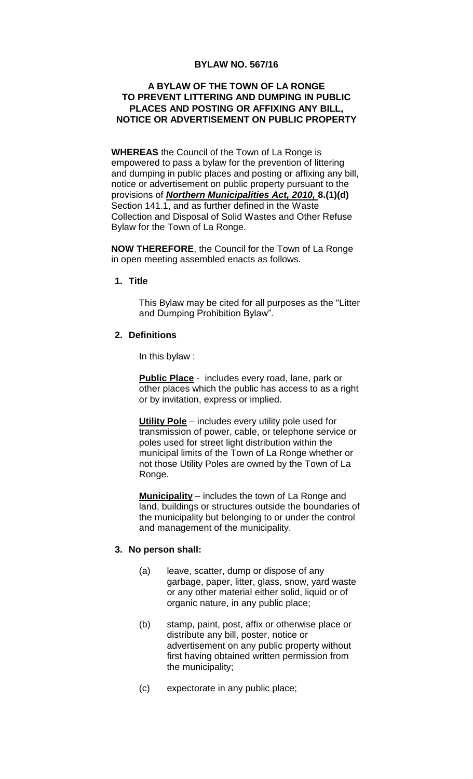#### **BYLAW NO. 567/16**

### **A BYLAW OF THE TOWN OF LA RONGE TO PREVENT LITTERING AND DUMPING IN PUBLIC PLACES AND POSTING OR AFFIXING ANY BILL, NOTICE OR ADVERTISEMENT ON PUBLIC PROPERTY**

**WHEREAS** the Council of the Town of La Ronge is empowered to pass a bylaw for the prevention of littering and dumping in public places and posting or affixing any bill, notice or advertisement on public property pursuant to the provisions of *Northern Municipalities Act, 2010,* **8.(1)(d)** Section 141.1, and as further defined in the Waste Collection and Disposal of Solid Wastes and Other Refuse Bylaw for the Town of La Ronge.

**NOW THEREFORE**, the Council for the Town of La Ronge in open meeting assembled enacts as follows.

**1. Title**

This Bylaw may be cited for all purposes as the "Litter and Dumping Prohibition Bylaw".

#### **2. Definitions**

In this bylaw :

**Public Place** - includes every road, lane, park or other places which the public has access to as a right or by invitation, express or implied.

**Utility Pole** – includes every utility pole used for transmission of power, cable, or telephone service or poles used for street light distribution within the municipal limits of the Town of La Ronge whether or not those Utility Poles are owned by the Town of La Ronge.

**Municipality** – includes the town of La Ronge and land, buildings or structures outside the boundaries of the municipality but belonging to or under the control and management of the municipality.

#### **3. No person shall:**

- (a) leave, scatter, dump or dispose of any garbage, paper, litter, glass, snow, yard waste or any other material either solid, liquid or of organic nature, in any public place;
- (b) stamp, paint, post, affix or otherwise place or distribute any bill, poster, notice or advertisement on any public property without first having obtained written permission from the municipality;
- (c) expectorate in any public place;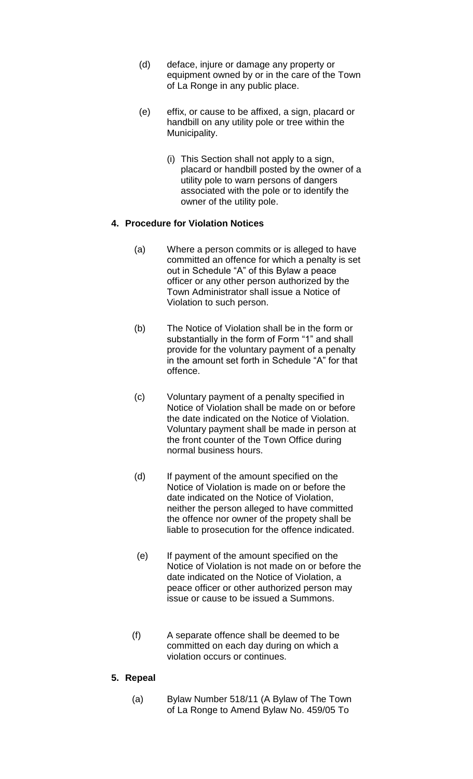- (d) deface, injure or damage any property or equipment owned by or in the care of the Town of La Ronge in any public place.
- (e) effix, or cause to be affixed, a sign, placard or handbill on any utility pole or tree within the Municipality.
	- (i) This Section shall not apply to a sign, placard or handbill posted by the owner of a utility pole to warn persons of dangers associated with the pole or to identify the owner of the utility pole.

# **4. Procedure for Violation Notices**

- (a) Where a person commits or is alleged to have committed an offence for which a penalty is set out in Schedule "A" of this Bylaw a peace officer or any other person authorized by the Town Administrator shall issue a Notice of Violation to such person.
- (b) The Notice of Violation shall be in the form or substantially in the form of Form "1" and shall provide for the voluntary payment of a penalty in the amount set forth in Schedule "A" for that offence.
- (c) Voluntary payment of a penalty specified in Notice of Violation shall be made on or before the date indicated on the Notice of Violation. Voluntary payment shall be made in person at the front counter of the Town Office during normal business hours.
- (d) If payment of the amount specified on the Notice of Violation is made on or before the date indicated on the Notice of Violation, neither the person alleged to have committed the offence nor owner of the propety shall be liable to prosecution for the offence indicated.
- (e) If payment of the amount specified on the Notice of Violation is not made on or before the date indicated on the Notice of Violation, a peace officer or other authorized person may issue or cause to be issued a Summons.
- (f) A separate offence shall be deemed to be committed on each day during on which a violation occurs or continues.

# **5. Repeal**

(a) Bylaw Number 518/11 (A Bylaw of The Town of La Ronge to Amend Bylaw No. 459/05 To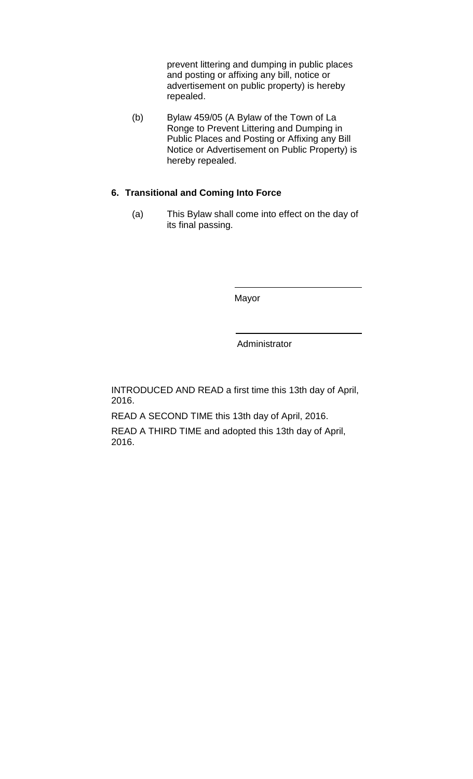prevent littering and dumping in public places and posting or affixing any bill, notice or advertisement on public property) is hereby repealed.

(b) Bylaw 459/05 (A Bylaw of the Town of La Ronge to Prevent Littering and Dumping in Public Places and Posting or Affixing any Bill Notice or Advertisement on Public Property) is hereby repealed.

# **6. Transitional and Coming Into Force**

(a) This Bylaw shall come into effect on the day of its final passing.

Mayor

Administrator

INTRODUCED AND READ a first time this 13th day of April, 2016.

READ A SECOND TIME this 13th day of April, 2016.

READ A THIRD TIME and adopted this 13th day of April, 2016.